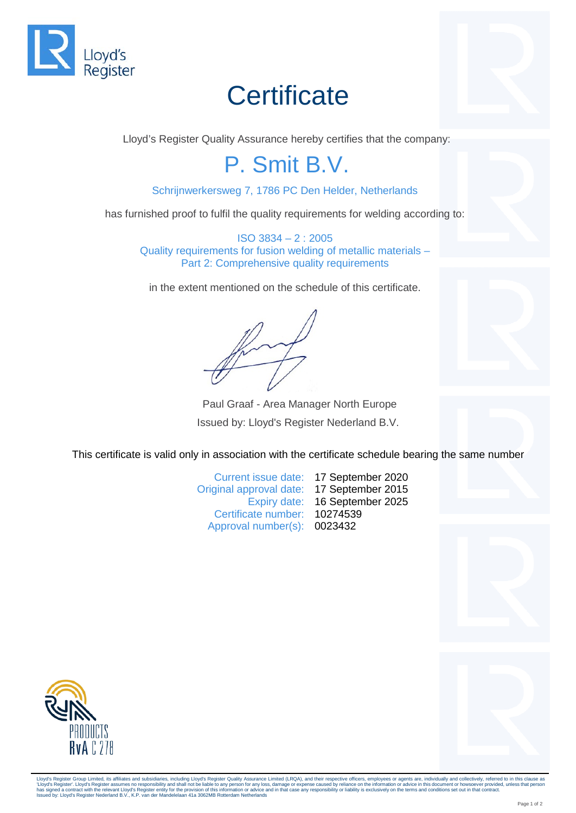

## **Certificate**

Lloyd's Register Quality Assurance hereby certifies that the company:

## P. Smit B.V.

Schrijnwerkersweg 7, 1786 PC Den Helder, Netherlands

has furnished proof to fulfil the quality requirements for welding according to:

ISO 3834 – 2 : 2005 Quality requirements for fusion welding of metallic materials – Part 2: Comprehensive quality requirements

in the extent mentioned on the schedule of this certificate.

Paul Graaf - Area Manager North Europe Issued by: Lloyd's Register Nederland B.V.

This certificate is valid only in association with the certificate schedule bearing the same number

Current issue date: 17 September 2020 Original approval date: 17 September 2015 Expiry date: 16 September 2025 Certificate number: 10274539 Approval number(s): 0023432



Lloyd's Register Group Limited, its affiliates and subsidiaries, including Lloyd's Register Quality Assurance Limited (LRQA), and their respective officers, employees or agents are, individually and collectively, referred 'Lloyd's Register'. Lloyd's Register assumes no responsibility and shall not be liable to any person for any loss, damage or expense caused by reliance on the information or advice in this document or howsoever provided, u has signed a contract with the relevant Lloyd's Register entity for the provision of this information or advice a<br>Issued by: Lloyd's Register Nederland B.V., K.P. van der Mandelelaan 41a 3062MB Rotterdam Netherlands